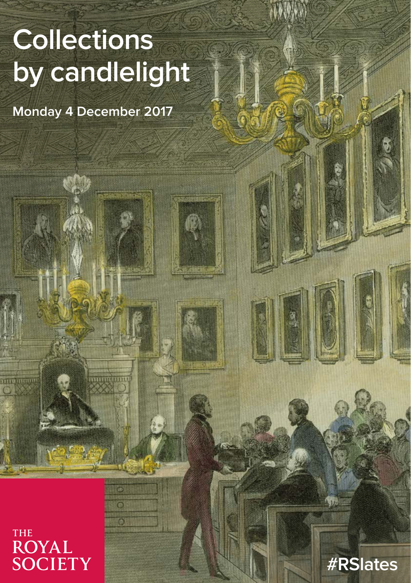# **Collections by candlelight**

**Monday 4 December 2017**

**THE ROYAL** SOCIETY  $\overline{\mathbf{O}}$  $\overline{\mathcal{O}}$ 

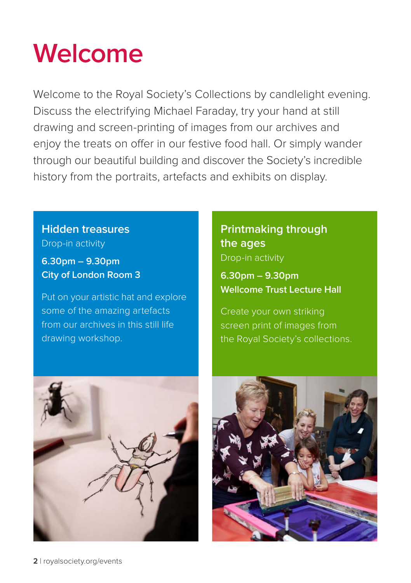## **Welcome**

Welcome to the Royal Society's Collections by candlelight evening. Discuss the electrifying Michael Faraday, try your hand at still drawing and screen-printing of images from our archives and enjoy the treats on offer in our festive food hall. Or simply wander through our beautiful building and discover the Society's incredible history from the portraits, artefacts and exhibits on display.

### **Hidden treasures** Drop-in activity

**6.30pm – 9.30pm City of London Room 3**

Put on your artistic hat and explore some of the amazing artefacts from our archives in this still life drawing workshop.

### **Printmaking through the ages** Drop-in activity

**6.30pm – 9.30pm Wellcome Trust Lecture Hall**

Create your own striking screen print of images from the Royal Society's collections.



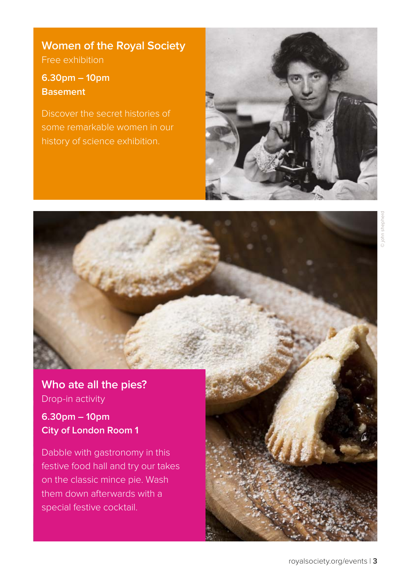### **Women of the Royal Society**

Free exhibition

### **6.30pm – 10pm Basement**

Discover the secret histories of some remarkable women in our



**Who ate all the pies?**  Drop-in activity

### **6.30pm – 10pm City of London Room 1**

Dabble with gastronomy in this festive food hall and try our takes on the classic mince pie. Wash them down afterwards with a special festive cocktail.

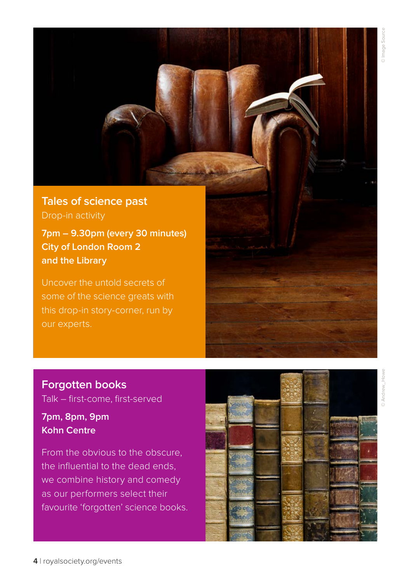**Tales of science past** Drop-in activity

**7pm – 9.30pm (every 30 minutes) City of London Room 2 and the Library**

Uncover the untold secrets of our experts.

**Forgotten books**

**7pm, 8pm, 9pm Kohn Centre**

Talk – first-come, first-served

From the obvious to the obscure, the influential to the dead ends, we combine history and comedy as our performers select their favourite 'forgotten' science books.

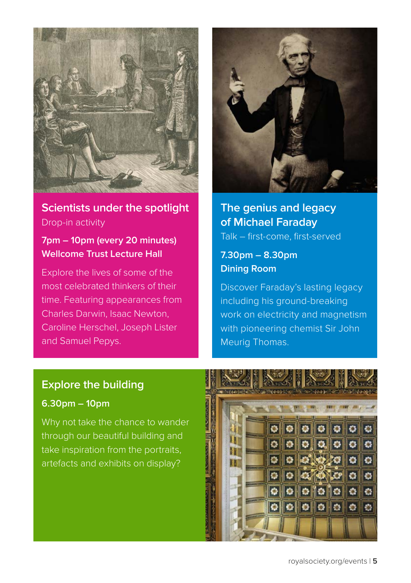

### **Scientists under the spotlight** Drop-in activity

### **7pm – 10pm (every 20 minutes) Wellcome Trust Lecture Hall**

Explore the lives of some of the most celebrated thinkers of their time. Featuring appearances from Charles Darwin, Isaac Newton, Caroline Herschel, Joseph Lister and Samuel Pepys.



### **The genius and legacy of Michael Faraday** Talk – first-come, first-served

### **7.30pm – 8.30pm Dining Room**

Discover Faraday's lasting legacy including his ground-breaking work on electricity and magnetism with pioneering chemist Sir John Meurig Thomas.

### **Explore the building**

### **6.30pm – 10pm**

Why not take the chance to wander through our beautiful building and take inspiration from the portraits, artefacts and exhibits on display?

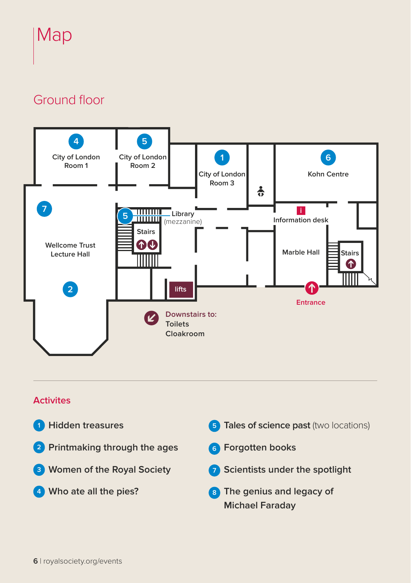## Map

### Ground floor



### **Activites**

- **<sup>1</sup> Hidden treasures**
- **<sup>2</sup> Printmaking through the ages**
- **3 Women of the Royal Society**
- **4 Who ate all the pies?**
- **5** Tales of science past (two locations) **<sup>6</sup> Forgotten books 7 Scientists under the spotlight 8 The genius and legacy of** 
	- **Michael Faraday**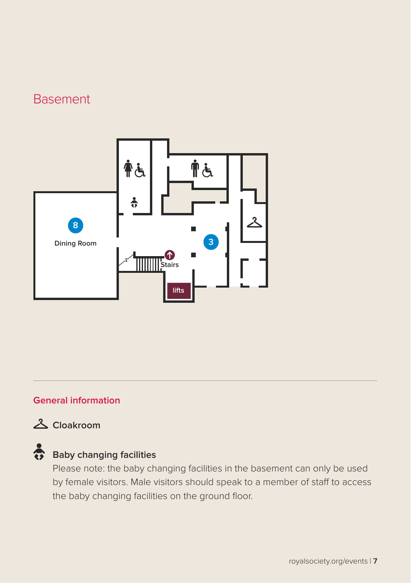### Basement



### **General information**

### **Cloakroom**

### Baby changing facilities

Please note: the baby changing facilities in the basement can only be used by female visitors. Male visitors should speak to a member of staff to access the baby changing facilities on the ground floor.